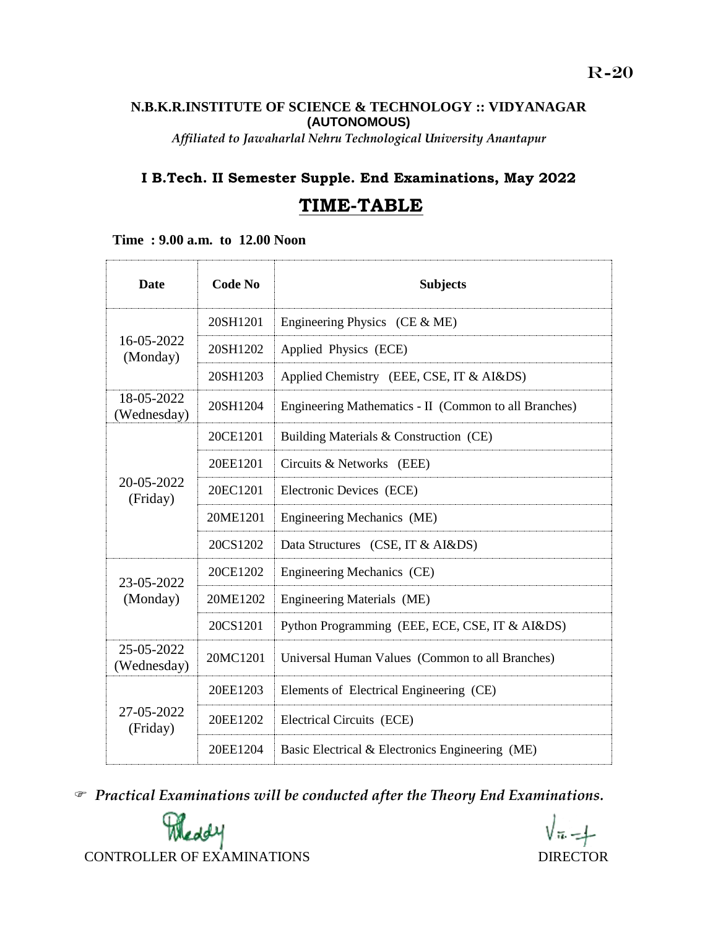### **N.B.K.R.INSTITUTE OF SCIENCE & TECHNOLOGY :: VIDYANAGAR (AUTONOMOUS)**

*Affiliated to Jawaharlal Nehru Technological University Anantapur*

## **I B.Tech. II Semester Supple. End Examinations, May 2022**

## **TIME-TABLE**

 **Time : 9.00 a.m. to 12.00 Noon**

| Date                      | <b>Code No</b> | <b>Subjects</b>                                       |
|---------------------------|----------------|-------------------------------------------------------|
| 16-05-2022<br>(Monday)    | 20SH1201       | Engineering Physics (CE $&$ ME)                       |
|                           | 20SH1202       | Applied Physics (ECE)                                 |
|                           | 20SH1203       | Applied Chemistry (EEE, CSE, IT & AI&DS)              |
| 18-05-2022<br>(Wednesday) | 20SH1204       | Engineering Mathematics - II (Common to all Branches) |
| 20-05-2022<br>(Friday)    | 20CE1201       | Building Materials & Construction (CE)                |
|                           | 20EE1201       | Circuits & Networks (EEE)                             |
|                           | 20EC1201       | Electronic Devices (ECE)                              |
|                           | 20ME1201       | Engineering Mechanics (ME)                            |
|                           | 20CS1202       | Data Structures (CSE, IT & AI&DS)                     |
| 23-05-2022<br>(Monday)    | 20CE1202       | Engineering Mechanics (CE)                            |
|                           | 20ME1202       | Engineering Materials (ME)                            |
|                           | 20CS1201       | Python Programming (EEE, ECE, CSE, IT & AI&DS)        |
| 25-05-2022<br>(Wednesday) | 20MC1201       | Universal Human Values (Common to all Branches)       |
| 27-05-2022<br>(Friday)    | 20EE1203       | Elements of Electrical Engineering (CE)               |
|                           | 20EE1202       | Electrical Circuits (ECE)                             |
|                           | 20EE1204       | Basic Electrical & Electronics Engineering (ME)       |

*Practical Examinations will be conducted after the Theory End Examinations.* 

 $\sqrt{n-1}$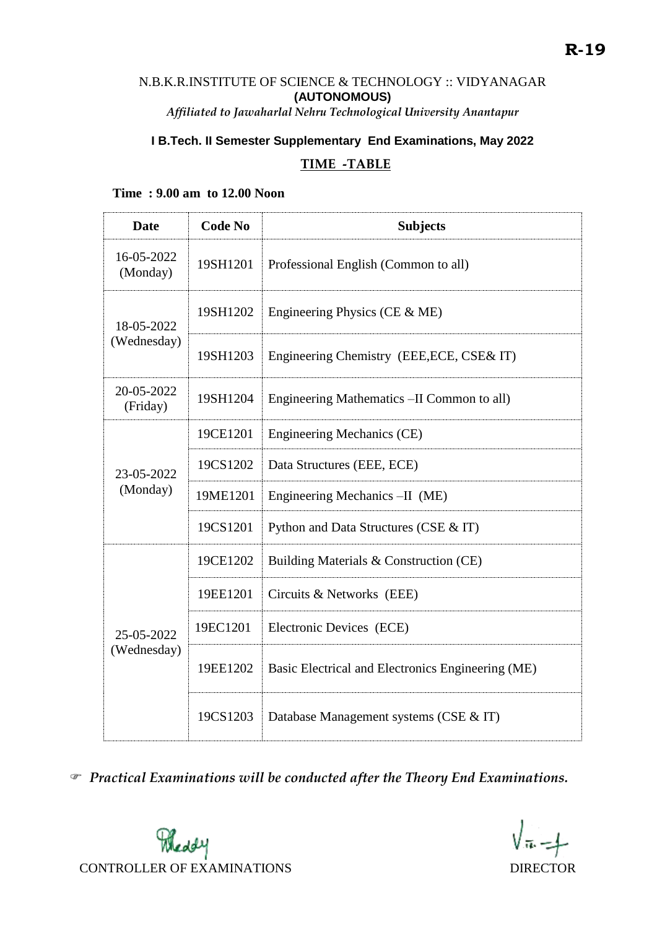# N.B.K.R.INSTITUTE OF SCIENCE & TECHNOLOGY :: VIDYANAGAR **(AUTONOMOUS)**

*Affiliated to Jawaharlal Nehru Technological University Anantapur*

# **I B.Tech. II Semester Supplementary End Examinations, May 2022**

### **TIME -TABLE**

#### **Time : 9.00 am to 12.00 Noon**

| <b>Date</b>               | <b>Code No</b> | <b>Subjects</b>                                   |
|---------------------------|----------------|---------------------------------------------------|
| 16-05-2022<br>(Monday)    | 19SH1201       | Professional English (Common to all)              |
| 18-05-2022<br>(Wednesday) | 19SH1202       | Engineering Physics (CE $&$ ME)                   |
|                           | 19SH1203       | Engineering Chemistry (EEE, ECE, CSE& IT)         |
| 20-05-2022<br>(Friday)    | 19SH1204       | Engineering Mathematics -II Common to all)        |
| 23-05-2022<br>(Monday)    | 19CE1201       | Engineering Mechanics (CE)                        |
|                           | 19CS1202       | Data Structures (EEE, ECE)                        |
|                           | 19ME1201       | Engineering Mechanics -II (ME)                    |
|                           | 19CS1201       | Python and Data Structures (CSE & IT)             |
| 25-05-2022<br>(Wednesday) | 19CE1202       | Building Materials & Construction (CE)            |
|                           | 19EE1201       | Circuits & Networks (EEE)                         |
|                           | 19EC1201       | Electronic Devices (ECE)                          |
|                           | 19EE1202       | Basic Electrical and Electronics Engineering (ME) |
|                           | 19CS1203       | Database Management systems (CSE & IT)            |

*Practical Examinations will be conducted after the Theory End Examinations.*